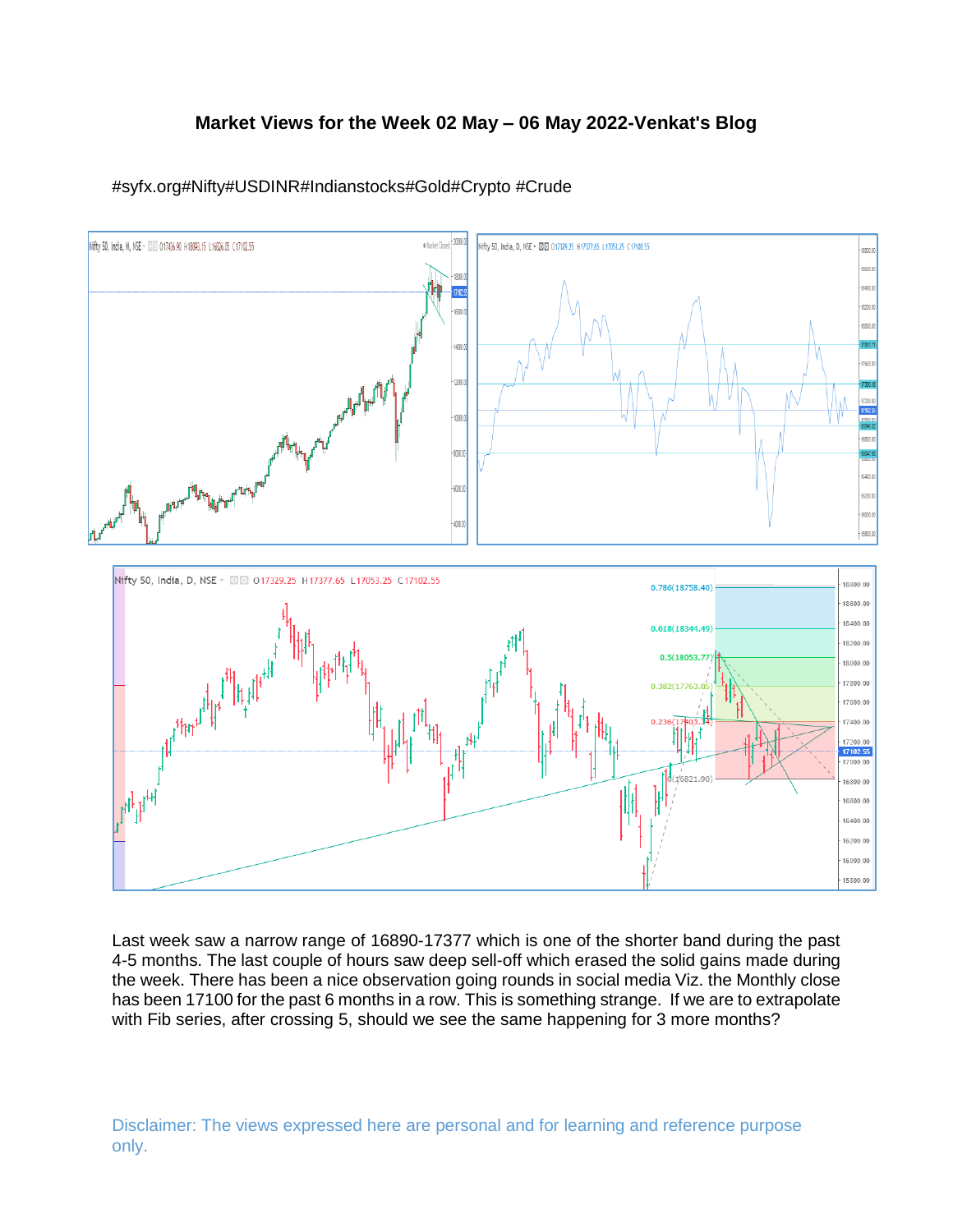# **Market Views for the Week 02 May – 06 May 2022-Venkat's Blog**



# #syfx.org#Nifty#USDINR#Indianstocks#Gold#Crypto #Crude

Last week saw a narrow range of 16890-17377 which is one of the shorter band during the past 4-5 months. The last couple of hours saw deep sell-off which erased the solid gains made during the week. There has been a nice observation going rounds in social media Viz. the Monthly close has been 17100 for the past 6 months in a row. This is something strange. If we are to extrapolate with Fib series, after crossing 5, should we see the same happening for 3 more months?

Disclaimer: The views expressed here are personal and for learning and reference purpose only.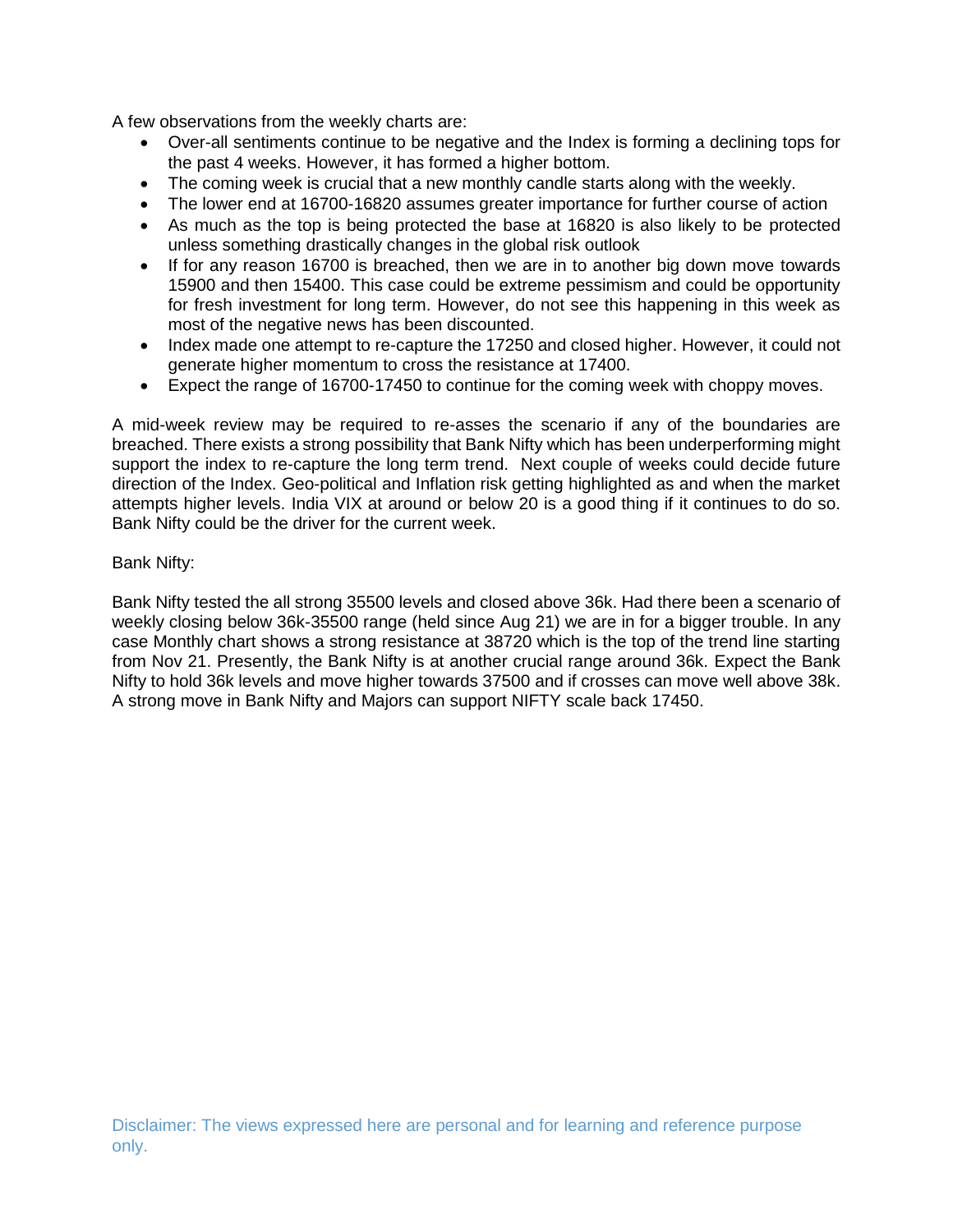A few observations from the weekly charts are:

- Over-all sentiments continue to be negative and the Index is forming a declining tops for the past 4 weeks. However, it has formed a higher bottom.
- The coming week is crucial that a new monthly candle starts along with the weekly.
- The lower end at 16700-16820 assumes greater importance for further course of action
- As much as the top is being protected the base at 16820 is also likely to be protected unless something drastically changes in the global risk outlook
- If for any reason 16700 is breached, then we are in to another big down move towards 15900 and then 15400. This case could be extreme pessimism and could be opportunity for fresh investment for long term. However, do not see this happening in this week as most of the negative news has been discounted.
- Index made one attempt to re-capture the 17250 and closed higher. However, it could not generate higher momentum to cross the resistance at 17400.
- Expect the range of 16700-17450 to continue for the coming week with choppy moves.

A mid-week review may be required to re-asses the scenario if any of the boundaries are breached. There exists a strong possibility that Bank Nifty which has been underperforming might support the index to re-capture the long term trend. Next couple of weeks could decide future direction of the Index. Geo-political and Inflation risk getting highlighted as and when the market attempts higher levels. India VIX at around or below 20 is a good thing if it continues to do so. Bank Nifty could be the driver for the current week.

## Bank Nifty:

Bank Nifty tested the all strong 35500 levels and closed above 36k. Had there been a scenario of weekly closing below 36k-35500 range (held since Aug 21) we are in for a bigger trouble. In any case Monthly chart shows a strong resistance at 38720 which is the top of the trend line starting from Nov 21. Presently, the Bank Nifty is at another crucial range around 36k. Expect the Bank Nifty to hold 36k levels and move higher towards 37500 and if crosses can move well above 38k. A strong move in Bank Nifty and Majors can support NIFTY scale back 17450.